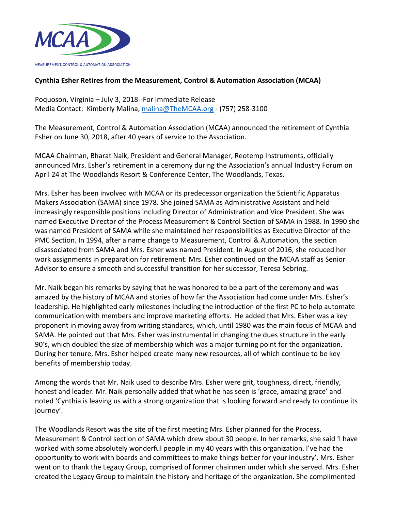

## **Cynthia Esher Retires from the Measurement, Control & Automation Association (MCAA)**

Poquoson, Virginia - July 3, 2018--For Immediate Release Media Contact: Kimberly Malina, malina@TheMCAA.org - (757) 258-3100

The Measurement, Control & Automation Association (MCAA) announced the retirement of Cynthia Esher on June 30, 2018, after 40 years of service to the Association.

MCAA Chairman, Bharat Naik, President and General Manager, Reotemp Instruments, officially announced Mrs. Esher's retirement in a ceremony during the Association's annual Industry Forum on April 24 at The Woodlands Resort & Conference Center, The Woodlands, Texas.

Mrs. Esher has been involved with MCAA or its predecessor organization the Scientific Apparatus Makers Association (SAMA) since 1978. She joined SAMA as Administrative Assistant and held increasingly responsible positions including Director of Administration and Vice President. She was named Executive Director of the Process Measurement & Control Section of SAMA in 1988. In 1990 she was named President of SAMA while she maintained her responsibilities as Executive Director of the PMC Section. In 1994, after a name change to Measurement, Control & Automation, the section disassociated from SAMA and Mrs. Esher was named President. In August of 2016, she reduced her work assignments in preparation for retirement. Mrs. Esher continued on the MCAA staff as Senior Advisor to ensure a smooth and successful transition for her successor, Teresa Sebring.

Mr. Naik began his remarks by saying that he was honored to be a part of the ceremony and was amazed by the history of MCAA and stories of how far the Association had come under Mrs. Esher's leadership. He highlighted early milestones including the introduction of the first PC to help automate communication with members and improve marketing efforts. He added that Mrs. Esher was a key proponent in moving away from writing standards, which, until 1980 was the main focus of MCAA and SAMA. He pointed out that Mrs. Esher was instrumental in changing the dues structure in the early 90's, which doubled the size of membership which was a major turning point for the organization. During her tenure, Mrs. Esher helped create many new resources, all of which continue to be key benefits of membership today.

Among the words that Mr. Naik used to describe Mrs. Esher were grit, toughness, direct, friendly, honest and leader. Mr. Naik personally added that what he has seen is 'grace, amazing grace' and noted 'Cynthia is leaving us with a strong organization that is looking forward and ready to continue its journey'.

The Woodlands Resort was the site of the first meeting Mrs. Esher planned for the Process, Measurement & Control section of SAMA which drew about 30 people. In her remarks, she said 'I have worked with some absolutely wonderful people in my 40 years with this organization. I've had the opportunity to work with boards and committees to make things better for your industry'. Mrs. Esher went on to thank the Legacy Group, comprised of former chairmen under which she served. Mrs. Esher created the Legacy Group to maintain the history and heritage of the organization. She complimented